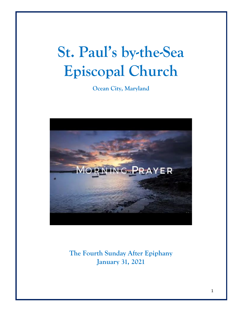# **St. Paul's by-the-Sea Episcopal Church**

**Ocean City, Maryland**



**The Fourth Sunday After Epiphany January 31, 2021**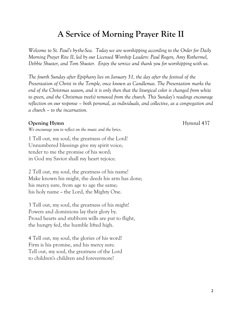## **A Service of Morning Prayer Rite II**

*Welcome to St. Paul's by-the-Sea. Today we are worshipping according to the Order for Daily Morning Prayer Rite II, led by our Licensed Worship Leaders: Paul Rogers, Amy Rothermel, Debbie Shuster, and Tom Shuster. Enjoy the service and thank you for worshipping with us.*

*The fourth Sunday after Epiphany lies on January 31, the day after the festival of the Presentation of Christ in the Temple, once known as Candlemas. The Presentation marks the end of the Christmas season, and it is only then that the liturgical color is changed from white to green, and the Christmas tree(s) removed from the church. This Sunday's readings encourage reflection on our response – both personal, as individuals, and collective, as a congregation and a church – to the incarnation.*

#### **Opening Hymn** Hymnal 437

*We encourage you to reflect on the music and the lyrics*.

1 Tell out, my soul, the greatness of the Lord! Unnumbered blessings give my spirit voice; tender to me the promise of his word; in God my Savior shall my heart rejoice.

2 Tell out, my soul, the greatness of his name! Make known his might, the deeds his arm has done; his mercy sure, from age to age the same; his holy name  $\sim$  the Lord, the Mighty One.

3 Tell out, my soul, the greatness of his might! Powers and dominions lay their glory by. Proud hearts and stubborn wills are put to flight, the hungry fed, the humble lifted high.

4 Tell out, my soul, the glories of his word! Firm is his promise, and his mercy sure. Tell out, my soul, the greatness of the Lord to children's children and forevermore!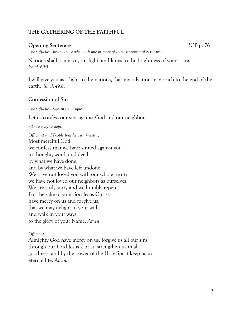#### **THE GATHERING OF THE FAITHFUL**

#### **Opening Sentences** BCP p. 76

*The Officiant begins the service with one or more of these sentences of Scripture.*

Nations shall come to your light, and kings to the brightness of your rising *Isaiah 60:3*

I will give you as a light to the nations, that my salvation may reach to the end of the earth. *Isaiah 49:6b*

#### **Confession of Sin**

*The Officiant says to the people*

Let us confess our sins against God and our neighbor.

*Silence may be kept.*

*Officiant and People together, all kneeling* Most merciful God, we confess that we have sinned against you in thought, word, and deed, by what we have done, and by what we have left undone. We have not loved you with our whole heart; we have not loved our neighbors as ourselves. We are truly sorry and we humbly repent. For the sake of your Son Jesus Christ, have mercy on us and forgive us; that we may delight in your will, and walk in your ways, to the glory of your Name. *Amen*.

#### *Officiant:*

Almighty God have mercy on us, forgive us all our sins through our Lord Jesus Christ, strengthen us in all goodness, and by the power of the Holy Spirit keep us in eternal life. *Amen.*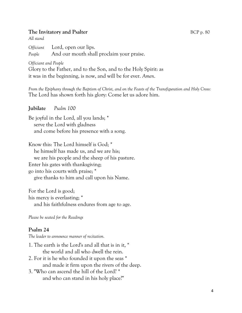#### **The Invitatory and Psalter** BCP p. 80

*All stand*

*Officiant* Lord, open our lips. *People* And our mouth shall proclaim your praise.

*Officiant and People*

Glory to the Father, and to the Son, and to the Holy Spirit: as it was in the beginning, is now, and will be for ever. *Amen*.

*From the Epiphany through the Baptism of Christ, and on the Feasts of the Transfiguration and Holy Cross:* The Lord has shown forth his glory: Come let us adore him.

#### **Jubilate** *Psalm 100*

Be joyful in the Lord, all you lands; \* serve the Lord with gladness and come before his presence with a song.

Know this: The Lord himself is God; \* he himself has made us, and we are his; we are his people and the sheep of his pasture. Enter his gates with thanksgiving; go into his courts with praise; \* give thanks to him and call upon his Name.

For the Lord is good; his mercy is everlasting; \* and his faithfulness endures from age to age.

*Please be seated for the Readings*

#### **Psalm 24**

*The leader to announce manner of recitation.*

- 1. The earth is the Lord's and all that is in it, \* the world and all who dwell the rein.
- 2. For it is he who founded it upon the seas \* and made it firm upon the rivers of the deep.
- 3. "Who can ascend the hill of the Lord? \* and who can stand in his holy place?"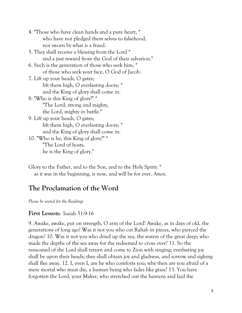4. "Those who have clean hands and a pure heart, \* who have not pledged them selves to falsehood, nor sworn by what is a fraud.

5. They shall receive a blessing from the Lord \* and a just reward from the God of their salvation."

- 6. Such is the generation of those who seek him, \* of those who seek your face, O God of Jacob.
- 7. Lift up your heads, O gates; lift them high, O everlasting doors; \* and the King of glory shall come in.
- 8. "Who is this King of glory?" \* "The Lord, strong and mighty, the Lord, mighty in battle."
- 9. Lift up your heads, O gates; lift them high, O everlasting doors; \* and the King of glory shall come in.
- 10. "Who is he, this King of glory?" \* "The Lord of hosts, he is the King of glory."
- Glory to the Father, and to the Son, and to the Holy Spirit: \* as it was in the beginning, is now, and will be for ever. *Amen*.

## **The Proclamation of the Word**

*Please be seated for the Readings*

### **First Lesson:** Isaiah 51:9-16

9. Awake, awake, put on strength, O arm of the Lord! Awake, as in days of old, the generations of long ago! Was it not you who cut Rahab in pieces, who pierced the dragon? 10. Was it not you who dried up the sea, the waters of the great deep; who made the depths of the sea away for the redeemed to cross over? 11. So the ransomed of the Lord shall return and come to Zion with singing; everlasting joy shall be upon their heads; they shall obtain joy and gladness, and sorrow and sighing shall flee away. 12. I, even I, am he who comforts you; why then are you afraid of a mere mortal who must die, a human being who fades like grass? 13. You have forgotten the Lord, your Maker, who stretched out the heavens and laid the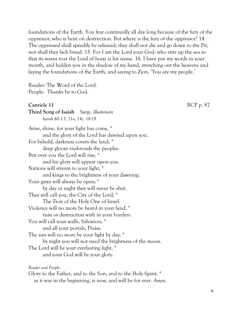foundations of the Earth. You fear continually all day long because of the fury of the oppressor, who is bent on destruction. But where is the fury of the oppressor? 14. The oppressed shall speedily be released; they shall not die and go down to the Pit, nor shall they lack bread. 15. For I am the Lord your God, who stirs up the sea so that its waves roar the Lord of hosts is his name. 16. I have put my words in your mouth, and hidden you in the shadow of my hand, stretching out the heavens and laying the foundations of the Earth, and saying to Zion, 'You are my people.'

Reader: The Word of the Lord. People: Thanks be to God.

## Canticle 11 BCP p. 87

*Reader and People:* Glory to the Father, and to the Son, and to the Holy Spirit: \* as it was in the beginning, is now, and will be for ever. *Amen*.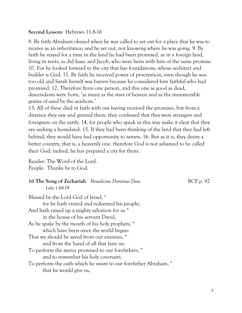#### **Second Lesson:** Hebrews 11:8-16

8. By faith Abraham obeyed when he was called to set out for a place that he was to receive as an inheritance; and he set out, not knowing where he was going. 9. By faith he stayed for a time in the land he had been promised, as in a foreign land, living in tents, as did Isaac and Jacob, who were heirs with him of the same promise. 10. For he looked forward to the city that has foundations, whose architect and builder is God. 11. By faith he received power of procreation, even though he was too old and Sarah herself was barren because he considered him faithful who had promised. 12. Therefore from one person, and this one as good as dead, descendants were born, 'as many as the stars of heaven and as the innumerable grains of sand by the seashore.'

13. All of these died in faith with out having received the promises, but from a distance they saw and greeted them. they confessed that they were strangers and foreigners on the earth, 14. for people who speak in this way make it clear that they are seeking a homeland. 15. If they had been thinking of the land that they had left behind, they would have had opportunity to return. 16. But as it is, they desire a better country, that is, a heavenly one. therefore God is not ashamed to be called their God; indeed, he has prepared a city for them.

Reader: The Word of the Lord. People: Thanks be to God.

## **16 The Song of Zechariah** *Benedictus Dominus Deus* BCP p. 92 *Luke 1:68-79*

Blessed be the Lord God of Israel, \* for he hath visited and redeemed his people; And hath raised up a mighty salvation for us \* in the house of his servant David, As he spake by the mouth of his holy prophets, \* which have been since the world began: That we should be saved from our enemies, \* and from the hand of all that hate us; To perform the mercy promised to our forefathers, \* and to remember his holy covenant; To perform the oath which he sware to our forefather Abraham, \* that he would give us,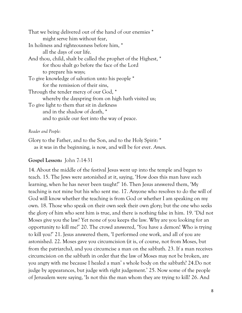| That we being delivered out of the hand of our enemies *       |
|----------------------------------------------------------------|
| might serve him without fear,                                  |
| In holiness and righteousness before him, *                    |
| all the days of our life.                                      |
| And thou, child, shalt be called the prophet of the Highest, * |
| for thou shalt go before the face of the Lord                  |
| to prepare his ways;                                           |
| To give knowledge of salvation unto his people *               |
| for the remission of their sins,                               |
| Through the tender mercy of our God, *                         |
| whereby the dayspring from on high hath visited us;            |
| To give light to them that sit in darkness                     |
| and in the shadow of death, *                                  |
| and to guide our feet into the way of peace.                   |
|                                                                |

#### *Reader and People:*

Glory to the Father, and to the Son, and to the Holy Spirit: \* as it was in the beginning, is now, and will be for ever. *Amen.*

#### **Gospel Lesson:** John 7:14-31

14. About the middle of the festival Jesus went up into the temple and began to teach. 15. The Jews were astonished at it, saying, 'How does this man have such learning, when he has never been taught?' 16. Then Jesus answered them, 'My teaching is not mine but his who sent me. 17. Anyone who resolves to do the will of God will know whether the teaching is from God or whether I am speaking on my own. 18. Those who speak on their own seek their own glory; but the one who seeks the glory of him who sent him is true, and there is nothing false in him. 19. 'Did not Moses give you the law? Yet none of you keeps the law. Why are you looking for an opportunity to kill me?' 20. The crowd answered, 'You have a demon! Who is trying to kill you?' 21. Jesus answered them, 'I performed one work, and all of you are astonished. 22. Moses gave you circumcision (it is, of course, not from Moses, but from the patriarchs), and you circumcise a man on the sabbath. 23. If a man receives circumcision on the sabbath in order that the law of Moses may not be broken, are you angry with me because I healed a man' s whole body on the sabbath? 24.Do not judge by appearances, but judge with right judgement.' 25. Now some of the people of Jerusalem were saying, 'Is not this the man whom they are trying to kill? 26. And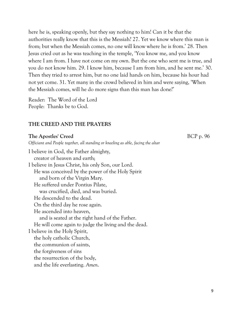here he is, speaking openly, but they say nothing to him! Can it be that the authorities really know that this is the Messiah? 27. Yet we know where this man is from; but when the Messiah comes, no one will know where he is from.' 28. Then Jesus cried out as he was teaching in the temple, 'You know me, and you know where I am from. I have not come on my own. But the one who sent me is true, and you do not know him. 29. I know him, because I am from him, and he sent me.' 30. Then they tried to arrest him, but no one laid hands on him, because his hour had not yet come. 31. Yet many in the crowd believed in him and were saying, 'When the Messiah comes, will he do more signs than this man has done?'

Reader: The Word of the Lord People: Thanks be to God.

#### **THE CREED AND THE PRAYERS**

#### **The Apostles' Creed** BCP p. 96

*Officiant and People together, all standing or kneeling as able, facing the altar*

I believe in God, the Father almighty, creator of heaven and earth; I believe in Jesus Christ, his only Son, our Lord. He was conceived by the power of the Holy Spirit and born of the Virgin Mary. He suffered under Pontius Pilate, was crucified, died, and was buried. He descended to the dead. On the third day he rose again. He ascended into heaven, and is seated at the right hand of the Father. He will come again to judge the living and the dead. I believe in the Holy Spirit, the holy catholic Church, the communion of saints, the forgiveness of sins the resurrection of the body, and the life everlasting. *Amen*.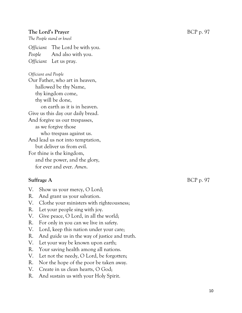#### **The Lord's Prayer** BCP p. 97

*The People stand or kneel*

*Officiant* The Lord be with you. *People* And also with you. *Officiant* Let us pray.

*Officiant and People*

Our Father, who art in heaven, hallowed be thy Name, thy kingdom come, thy will be done, on earth as it is in heaven. Give us this day our daily bread. And forgive us our trespasses, as we forgive those who trespass against us. And lead us not into temptation, but deliver us from evil. For thine is the kingdom, and the power, and the glory, for ever and ever. *Amen*.

- V. Show us your mercy, O Lord;
- R. And grant us your salvation.
- V. Clothe your ministers with righteousness;
- R. Let your people sing with joy.
- V. Give peace, O Lord, in all the world;
- R. For only in you can we live in safety.
- V. Lord, keep this nation under your care;
- R. And guide us in the way of justice and truth.
- V. Let your way be known upon earth;
- R. Your saving health among all nations.
- V. Let not the needy, O Lord, be forgotten;
- R. Nor the hope of the poor be taken away.
- V. Create in us clean hearts, O God;
- R. And sustain us with your Holy Spirit.

**Suffrage A** BCP p. 97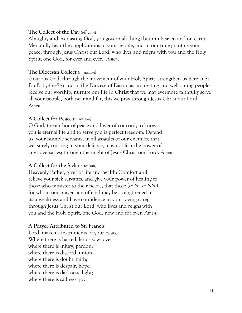#### **The Collect of the Day** *(officiant)*

Almighty and everlasting God, you govern all things both in heaven and on earth: Mercifully hear the supplications of your people, and in our time grant us your peace; through Jesus Christ our Lord, who lives and reigns with you and the Holy Spirit, one God, for ever and ever. *Amen*.

#### **The Diocesan Collect** *(in unison)*

Gracious God, through the movement of your Holy Spirit, strengthen us here at St. Paul's by-the-Sea and in the Diocese of Easton as an inviting and welcoming people; receive our worship, nurture our life in Christ that we may evermore faithfully serve all your people, both near and far; this we pray through Jesus Christ our Lord. A*men*.

#### **A Collect for Peace** *(in unison)*

O God, the author of peace and lover of concord, to know you is eternal life and to serve you is perfect freedom: Defend us, your humble servants, in all assaults of our enemies; that we, surely trusting in your defense, may not fear the power of any adversaries; through the might of Jesus Christ our Lord. *Amen.*

#### **A Collect for the Sick** *(in unison)*

Heavenly Father, giver of life and health: Comfort and relieve your sick servants, and give your power of healing to those who minister to their needs, that those (*or N.*, *or NN*.) for whom our prayers are offered may be strengthened in *their* weakness and have confidence in your loving care; through Jesus Christ our Lord, who lives and reigns with you and the Holy Spirit, one God, now and for ever. *Amen*.

#### **A Prayer Attributed to St. Francis**

Lord, make us instruments of your peace. Where there is hatred, let us sow love; where there is injury, pardon; where there is discord, union; where there is doubt, faith; where there is despair, hope; where there is darkness, light; where there is sadness, joy.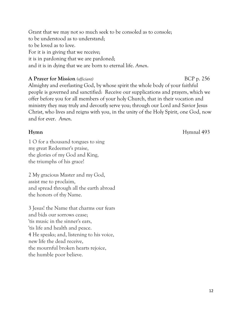Grant that we may not so much seek to be consoled as to console; to be understood as to understand; to be loved as to love. For it is in giving that we receive; it is in pardoning that we are pardoned; and it is in dying that we are born to eternal life. *Amen*.

#### **A Prayer for Mission** *(officiant)* BCP p. 256

Almighty and everlasting God, by whose spirit the whole body of your faithful people is governed and sanctified: Receive our supplications and prayers, which we offer before you for all members of your holy Church, that in their vocation and ministry they may truly and devoutly serve you; through our Lord and Savior Jesus Christ, who lives and reigns with you, in the unity of the Holy Spirit, one God, now and for ever. *Amen*.

1 O for a thousand tongues to sing my great Redeemer's praise, the glories of my God and King, the triumphs of his grace!

2 My gracious Master and my God, assist me to proclaim, and spread through all the earth abroad the honors of thy Name.

3 Jesus! the Name that charms our fears and bids our sorrows cease; 'tis music in the sinner's ears, 'tis life and health and peace. 4 He speaks; and, listening to his voice, new life the dead receive, the mournful broken hearts rejoice, the humble poor believe.

**Hymn** Hymnal 493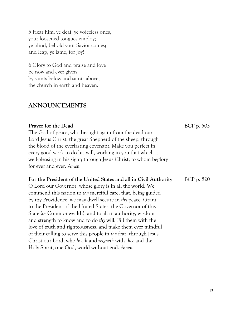5 Hear him, ye deaf; ye voiceless ones, your loosened tongues employ; ye blind, behold your Savior comes; and leap, ye lame, for joy!

6 Glory to God and praise and love be now and ever given by saints below and saints above, the church in earth and heaven.

#### **ANNOUNCEMENTS**

### **Prayer for the Dead** BCP p. 503 The God of peace, who brought again from the dead our Lord Jesus Christ, the great Shepherd of the sheep, through the blood of the everlasting covenant: Make you perfect in every good work to do his will, working in you that which is well-pleasing in his sight; through Jesus Christ, to whom beglory for ever and ever. *Amen.* For the President of the United States and all in Civil Authority BCP p. 820 O Lord our Governor, whose glory is in all the world: We commend this nation to *thy* merciful care, that, being guided by thy Providence, we may dwell secure in *thy* peace. Grant to the President of the United States, the Governor of this State (*or* Commonwealth), and to all in authority, wisdom and strength to know and to do *thy* will. Fill them with the love of truth and righteousness, and make them ever mindful

Christ our Lord, who *liveth* and *reigneth* with *thee* and the Holy Spirit, one God, world without end. *Amen*.

of their calling to serve this people in *thy* fear; through Jesus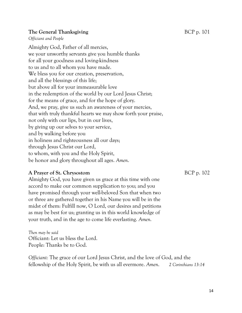#### **The General Thanksgiving Example 2018** BCP p. 101

*Officiant and People*

Almighty God, Father of all mercies, we your unworthy servants give you humble thanks for all your goodness and loving-kindness to us and to all whom you have made. We bless you for our creation, preservation, and all the blessings of this life; but above all for your immeasurable love in the redemption of the world by our Lord Jesus Christ; for the means of grace, and for the hope of glory. And, we pray, give us such an awareness of your mercies, that with truly thankful hearts we may show forth your praise, not only with our lips, but in our lives, by giving up our selves to your service, and by walking before you in holiness and righteousness all our days; through Jesus Christ our Lord, to whom, with you and the Holy Spirit, be honor and glory throughout all ages. *Amen*.

#### **A Prayer of St. Chrysostom** BCP p. 102

Almighty God, you have given us grace at this time with one accord to make our common supplication to you; and you have promised through your well-beloved Son that when two or three are gathered together in his Name you will be in the midst of them: Fulfill now, O Lord, our desires and petitions as may be best for us; granting us in this world knowledge of your truth, and in the age to come life everlasting. *Amen.*

*Then may be said* Officiant: Let us bless the Lord. People: Thanks be to God.

*Officiant:* The grace of our Lord Jesus Christ, and the love of God, and the fellowship of the Holy Spirit, be with us all evermore. *Amen*. *2 Corinthians 13:14*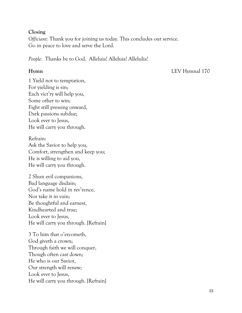#### **Closing**

*Officiant:* Thank you for joining us today. This concludes our service. Go in peace to love and serve the Lord.

*People:* Thanks be to God. Alleluia! Alleluia! Allelulia!

**Hymn** LEV Hymnal 170

1 Yield not to temptation, For yielding is sin; Each vict'ry will help you, Some other to win; Fight still pressing onward, Dark passions subdue; Look ever to Jesus, He will carry you through.

Refrain: Ask the Savior to help you, Comfort, strengthen and keep you; He is willing to aid you, He will carry you through.

2 Shun evil companions, Bad language disdain; God's name hold in rev'rence, Nor take it in vain; Be thoughtful and earnest, Kindhearted and true; Look ever to Jesus, He will carry you through. [Refrain]

3 To him that o'ercometh, God giveth a crown; Through faith we will conquer, Though often cast down; He who is our Savior, Our strength will renew; Look ever to Jesus, He will carry you through. [Refrain]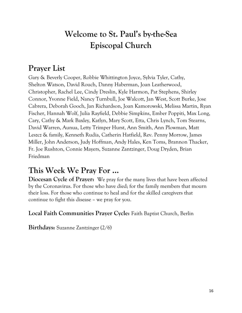## **Welcome to St. Paul's by-the-Sea Episcopal Church**

## **Prayer List**

Gary & Beverly Cooper, Robbie Whittington Joyce, Sylvia Tyler, Cathy, Shelton Watson, David Rouch, Danny Haberman, Joan Leatherwood, Christopher, Rachel Lee, Cindy Dreslin, Kyle Harmon, Pat Stephens, Shirley Connor, Yvonne Field, Nancy Turnbull, Joe Walcott, Jan West, Scott Burke, Jose Cabrera, Deborah Gooch, Jan Richardson, Joan Kamorowski, Melissa Martin, Ryan Fischer, Hannah Wolf, Julia Rayfield, Debbie Simpkins, Ember Poppiti, Max Long, Cary, Cathy & Mark Baxley, Katlyn, Mary Scott, Etta, Chris Lynch, Tom Stearns, David Warren, Aunua, Letty Trimper Hurst, Ann Smith, Ann Plowman, Matt Leszcz & family, Kenneth Rudia, Catherin Hatfield, Rev. Penny Morrow, James Miller, John Anderson, Judy Hoffman, Andy Hales, Ken Toms, Brannon Thacker, Fr. Joe Rushton, Connie Mayers, Suzanne Zantzinger, Doug Dryden, Brian Friedman

## **This Week We Pray For ...**

**Diocesan Cycle of Prayer:** We pray for the many lives that have been affected by the Coronavirus. For those who have died; for the family members that mourn their loss. For those who continue to heal and for the skilled caregivers that continue to fight this disease – we pray for you.

**Local Faith Communities Prayer Cycle:** Faith Baptist Church, Berlin

**Birthdays:** Suzanne Zantzinger (2/6)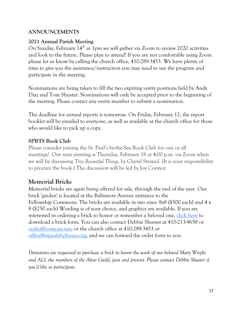#### **ANNOUNCEMENTS**

#### **2021 Annual Parish Meeting**

On Sunday, February  $14<sup>th</sup>$  at 1pm we will gather via Zoom to review 2020 activities and look to the future. Please plan to attend! If you are not comfortable using Zoom please let us know by calling the church office, 410-289-3453. We have plenty of time to give you the assistance/instruction you may need to use the program and participate in the meeting.

Nominations are being taken to fill the two expiring vestry positions held by Andy Diaz and Tom Shuster. Nominations will only be accepted prior to the beginning of the meeting. Please contact any vestry member to submit a nomination.

The deadline for annual reports is tomorrow. On Friday, February 12, the report booklet will be emailed to everyone, as well as available at the church office for those who would like to pick up a copy.

#### **SPBTS Book Club**

Please consider joining the St. Paul's by-the-Sea Book Club for one or all meetings! Our next meeting is Thursday, February 18 at 4:00 p.m. via Zoom when we will be discussing *Tiny Beautiful Things,* by Cheryl Strayed*.* (It is your responsibility to procure the book.) The discussion will be led by Joy Connor.

### **Memorial Bricks**

Memorial bricks are again being offered for sale, through the end of the year. Our brick 'garden' is located at the Baltimore Avenue entrance to the Fellowship Commons. The bricks are available in two sizes: 8x8 (\$500 each) and 4 x 8 (\$250 each) Wording is of your choice, and graphics are available. If you are interested in ordering a brick to honor or remember a beloved one, [click here](https://files.constantcontact.com/2d81fdc6201/a89c11d6-2779-4bb4-9838-d20af6f37591.pdf) to download a brick form. You can also contact Debbie Shuster at 410-213-9658 or [ocshu@comcast.net,](mailto:ocshu@comcast.net) or the church office at 410-289-3453 or [office@stpaulsbythesea.org,](mailto:office@stpaulsbythesea.net) and we can forward the order form to you.

*Donations are requested to purchase a brick to honor the work of our beloved Mary Wright and ALL the members of the Altar Guild, past and present. Please contact Debbie Shuster if you'd like to participate.*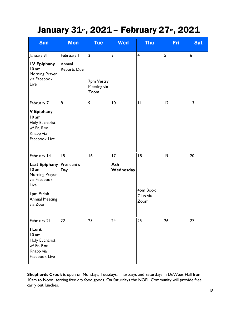## January 31th, 2021 - February 27th, 2021

| <b>Sun</b>                                                                                                                                | <b>Mon</b>                                 | <b>Tue</b>                                          | <b>Wed</b>             | <b>Thu</b>                         | Fri | <b>Sat</b> |
|-------------------------------------------------------------------------------------------------------------------------------------------|--------------------------------------------|-----------------------------------------------------|------------------------|------------------------------------|-----|------------|
| January 31<br><b>IV Epiphany</b><br>10 am<br>Morning Prayer<br>via Facebook<br>Live                                                       | February I<br>Annual<br><b>Reports Due</b> | $\overline{2}$<br>7pm Vestry<br>Meeting via<br>Zoom | 3                      | $\overline{\mathbf{4}}$            | 5   | 6          |
| February 7<br>V Epiphany<br>10 am<br>Holy Eucharist<br>w/ Fr. Ron<br>Knapp via<br>Facebook Live                                           | 8                                          | 9                                                   | 10                     | $\mathbf{H}$                       | 12  | 13         |
| February 14<br><b>Last Epiphany</b><br>10 am<br>Morning Prayer<br>via Facebook<br>Live<br>Ipm Parish<br><b>Annual Meeting</b><br>via Zoom | 15<br>President's<br>Day                   | 16                                                  | 17<br>Ash<br>Wednesday | 18<br>4pm Book<br>Club via<br>Zoom | 9   | 20         |
| February 21<br>I Lent<br>10 am<br>Holy Eucharist<br>w/ Fr. Ron<br>Knapp via<br>Facebook Live                                              | 22                                         | 23                                                  | 24                     | 25                                 | 26  | 27         |

**Shepherds Crook** is open on Mondays, Tuesdays, Thursdays and Saturdays in DeWees Hall from 10am to Noon, serving free dry food goods. On Saturdays the NOEL Community will provide free carry out lunches.